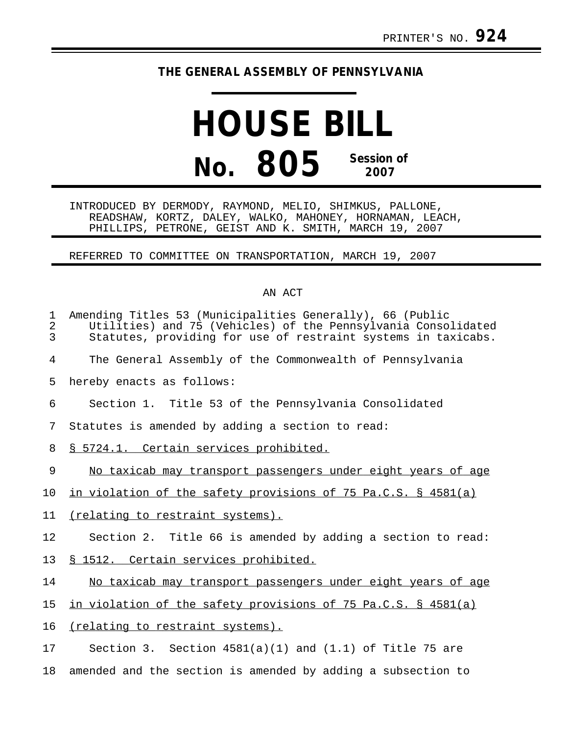## **THE GENERAL ASSEMBLY OF PENNSYLVANIA**

## **HOUSE BILL No. 805 Session of 2007**

INTRODUCED BY DERMODY, RAYMOND, MELIO, SHIMKUS, PALLONE, READSHAW, KORTZ, DALEY, WALKO, MAHONEY, HORNAMAN, LEACH, PHILLIPS, PETRONE, GEIST AND K. SMITH, MARCH 19, 2007

REFERRED TO COMMITTEE ON TRANSPORTATION, MARCH 19, 2007

## AN ACT

| $\mathbf 1$<br>$\overline{2}$<br>$\overline{3}$ | Amending Titles 53 (Municipalities Generally), 66 (Public<br>Utilities) and 75 (Vehicles) of the Pennsylvania Consolidated<br>Statutes, providing for use of restraint systems in taxicabs. |
|-------------------------------------------------|---------------------------------------------------------------------------------------------------------------------------------------------------------------------------------------------|
| 4                                               | The General Assembly of the Commonwealth of Pennsylvania                                                                                                                                    |
| 5                                               | hereby enacts as follows:                                                                                                                                                                   |
| 6                                               | Section 1. Title 53 of the Pennsylvania Consolidated                                                                                                                                        |
| 7                                               | Statutes is amended by adding a section to read:                                                                                                                                            |
| 8                                               | § 5724.1. Certain services prohibited.                                                                                                                                                      |
| 9                                               | No taxicab may transport passengers under eight years of age                                                                                                                                |
| 10                                              | in violation of the safety provisions of 75 Pa.C.S. § 4581(a)                                                                                                                               |
| 11                                              | (relating to restraint systems).                                                                                                                                                            |
| 12                                              | Section 2. Title 66 is amended by adding a section to read:                                                                                                                                 |
| 13                                              | § 1512. Certain services prohibited.                                                                                                                                                        |
| 14                                              | No taxicab may transport passengers under eight years of age                                                                                                                                |
| 15                                              | in violation of the safety provisions of 75 Pa.C.S. § 4581(a)                                                                                                                               |
| 16                                              | (relating to restraint systems).                                                                                                                                                            |
| 17                                              | Section 3. Section $4581(a)(1)$ and $(1.1)$ of Title 75 are                                                                                                                                 |
| 18                                              | amended and the section is amended by adding a subsection to                                                                                                                                |
|                                                 |                                                                                                                                                                                             |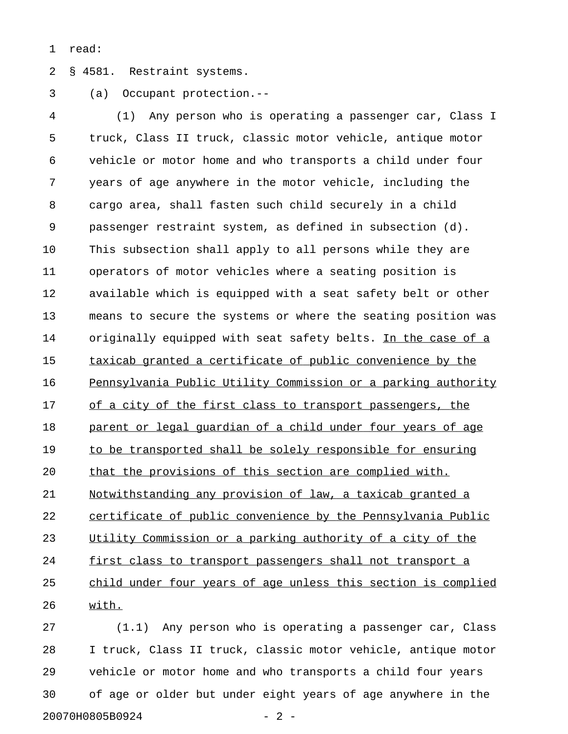1 read:

2 § 4581. Restraint systems.

3 (a) Occupant protection.--

4 (1) Any person who is operating a passenger car, Class I 5 truck, Class II truck, classic motor vehicle, antique motor 6 vehicle or motor home and who transports a child under four 7 years of age anywhere in the motor vehicle, including the 8 cargo area, shall fasten such child securely in a child 9 passenger restraint system, as defined in subsection (d). 10 This subsection shall apply to all persons while they are 11 operators of motor vehicles where a seating position is 12 available which is equipped with a seat safety belt or other 13 means to secure the systems or where the seating position was 14 originally equipped with seat safety belts. In the case of a 15 taxicab granted a certificate of public convenience by the 16 Pennsylvania Public Utility Commission or a parking authority 17 of a city of the first class to transport passengers, the 18 parent or legal quardian of a child under four years of age 19 to be transported shall be solely responsible for ensuring 20 that the provisions of this section are complied with. 21 Notwithstanding any provision of law, a taxicab granted a 22 certificate of public convenience by the Pennsylvania Public 23 Utility Commission or a parking authority of a city of the 24 first class to transport passengers shall not transport a 25 child under four years of age unless this section is complied 26 with. \_\_\_\_\_

27 (1.1) Any person who is operating a passenger car, Class 28 I truck, Class II truck, classic motor vehicle, antique motor 29 vehicle or motor home and who transports a child four years 30 of age or older but under eight years of age anywhere in the 20070H0805B0924 - 2 -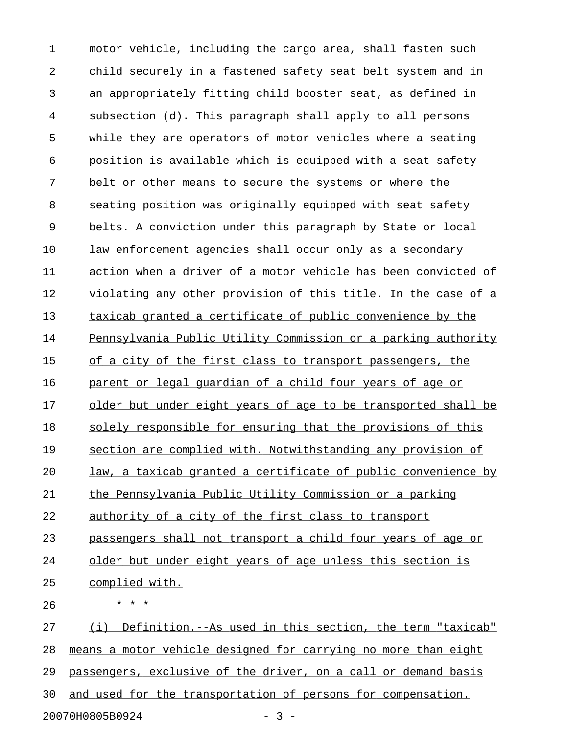1 motor vehicle, including the cargo area, shall fasten such 2 child securely in a fastened safety seat belt system and in 3 an appropriately fitting child booster seat, as defined in 4 subsection (d). This paragraph shall apply to all persons 5 while they are operators of motor vehicles where a seating 6 position is available which is equipped with a seat safety 7 belt or other means to secure the systems or where the 8 seating position was originally equipped with seat safety 9 belts. A conviction under this paragraph by State or local 10 law enforcement agencies shall occur only as a secondary 11 action when a driver of a motor vehicle has been convicted of 12 violating any other provision of this title. In the case of a 13 taxicab granted a certificate of public convenience by the 14 Pennsylvania Public Utility Commission or a parking authority 15 of a city of the first class to transport passengers, the 16 parent or legal quardian of a child four years of age or 17 older but under eight years of age to be transported shall be 18 solely responsible for ensuring that the provisions of this 19 section are complied with. Notwithstanding any provision of 20 law, a taxicab granted a certificate of public convenience by 21 the Pennsylvania Public Utility Commission or a parking 22 authority of a city of the first class to transport 23 passengers shall not transport a child four years of age or 24 older but under eight years of age unless this section is 25 complied with. 26 \* \* \* 27 (i) Definition.--As used in this section, the term "taxicab" 28 means a motor vehicle designed for carrying no more than eight 29 passengers, exclusive of the driver, on a call or demand basis

30 and used for the transportation of persons for compensation.

20070H0805B0924 - 3 -